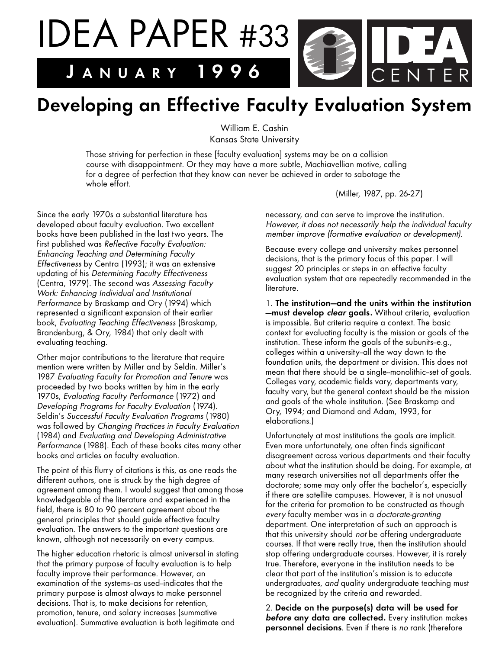

## **Developing an Effective Faculty Evaluation System**

William E. Cashin Kansas State University

Those striving for perfection in these [faculty evaluation] systems may be on a collision course with disappointment. Or they may have a more subtle, Machiavellian motive, calling for a degree of perfection that they know can never be achieved in order to sabotage the whole effort.

Since the early 1970s a substantial literature has developed about faculty evaluation. Two excellent books have been published in the last two years. The first published was *Reflective Faculty Evaluation: Enhancing Teaching and Determining Faculty Effectiveness* by Centra (1993); it was an extensive updating of his *Determining Faculty Effectiveness* (Centra, 1979). The second was *Assessing Faculty Work: Enhancing Individual and Institutional Performance* by Braskamp and Ory (1994) which represented a significant expansion of their earlier book, *Evaluating Teaching Effectiveness* (Braskamp, Brandenburg, & Ory, 1984) that only dealt with evaluating teaching.

Other major contributions to the literature that require mention were written by Miller and by Seldin. Miller's 1987 *Evaluating Faculty for Promotion and Tenure* was proceeded by two books written by him in the early 1970s, *Evaluating Faculty Performance* (1972) and *Developing Programs for Faculty Evaluation* (1974). Seldin's *Successful Faculty Evaluation Programs* (1980) was followed by *Changing Practices in Faculty Evaluation* (1984) and *Evaluating and Developing Administrative Performance* (1988). Each of these books cites many other books and articles on faculty evaluation.

The point of this flurry of citations is this, as one reads the different authors, one is struck by the high degree of agreement among them. I would suggest that among those knowledgeable of the literature and experienced in the field, there is 80 to 90 percent agreement about the general principles that should guide effective faculty evaluation. The answers to the important questions are known, although not necessarily on every campus.

The higher education rhetoric is almost universal in stating that the primary purpose of faculty evaluation is to help faculty improve their performance. However, an examination of the systems-as used-indicates that the primary purpose is almost always to make personnel decisions. That is, to make decisions for retention, promotion, tenure, and salary increases (summative evaluation). Summative evaluation is both legitimate and

(Miller, 1987, pp. 26-27)

necessary, and can serve to improve the institution. *However, it does not necessarily help the individual faculty member improve (formative evaluation or development).*

Because every college and university makes personnel decisions, that is the primary focus of this paper. I will suggest 20 principles or steps in an effective faculty evaluation system that are repeatedly recommended in the literature.

1. **The institution—and the units within the institution —must develop** *clear* **goals.** Without criteria, evaluation is impossible. But criteria require a context. The basic context for evaluating faculty is the mission or goals of the institution. These inform the goals of the subunits-e.g., colleges within a university-all the way down to the foundation units, the department or division. This does not mean that there should be a single-monolithic-set of goals. Colleges vary, academic fields vary, departments vary, faculty vary, but the general context should be the mission and goals of the whole institution. (See Braskamp and Ory, 1994; and Diamond and Adam, 1993, for elaborations.)

Unfortunately at most institutions the goals are implicit. Even more unfortunately, one often finds significant disagreement across various departments and their faculty about what the institution should be doing. For example, at many research universities not all departments offer the doctorate; some may only offer the bachelor's, especially if there are satellite campuses. However, it is not unusual for the criteria for promotion to be constructed as though *every* faculty member was in a *doctorate-granting* department. One interpretation of such an approach is that this university should *not* be offering undergraduate courses. If that were really true, then the institution should stop offering undergraduate courses. However, it is rarely true. Therefore, everyone in the institution needs to be clear that part of the institution's mission is to educate undergraduates, *and* quality undergraduate teaching must be recognized by the criteria and rewarded.

2. **Decide on the purpose(s) data will be used for** *before* **any data are collected.** Every institution makes **personnel decisions**. Even if there is *no* rank (therefore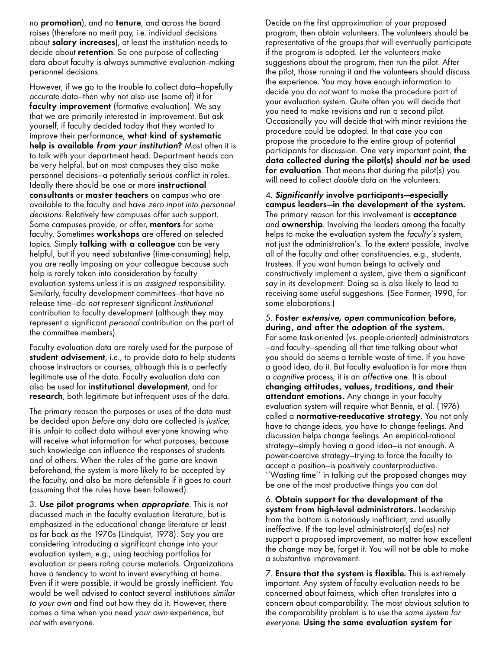no **promotion**), and no **tenure**, and across the board raises (therefore no merit pay, i.e. individual decisions about **salary increases**), at least the institution needs to decide about **retention**. So one purpose of collecting data about faculty is always summative evaluation-making personnel decisions.

However, if we go to the trouble to collect data—hopefully accurate data—then why not also use (some of) it for faculty improvement (formative evaluation). We say that we are primarily interested in improvement. But ask yourself, if faculty decided today that they wanted to improve their performance, **what kind of systematic help is available** *from your institution***?** Most often it is to talk with your department head. Department heads can be very helpful, but on most campuses they also make personnel decisions—a potentially serious conflict in roles. Ideally there should be one or more **instructional consultants** or **master teachers** on campus who are available to the faculty and have *zero input into personnel decisions*. Relatively few campuses offer such support. Some campuses provide, or offer, **mentors** for some faculty. Sometimes **workshops** are offered on selected topics. Simply **talking with a colleague** can be very helpful, but if you need substantive (time-consuming) help, you are really imposing on your colleague because such help is rarely taken into consideration by faculty evaluation systems unless it is an *assigned* responsibility. Similarly, faculty development committees—that have no release time—do *not* represent significant *institutional* contribution to faculty development (although they may represent a significant *personal* contribution on the part of the committee members).

Faculty evaluation data are rarely used for the purpose of **student advisement**, i.e., to provide data to help students choose instructors or courses, although this is a perfectly legitimate use of the data. Faculty evaluation data can also be used for **institutional development**, and for **research**, both legitimate but infrequent uses of the data.

The primary reason the purposes or uses of the data must be decided upon *before* any data are collected is *justice*; it is unfair to collect data without everyone knowing who will receive what information for what purposes, because such knowledge can influence the responses of students and of others. When the rules of the game are known beforehand, the system is more likely to be accepted by the faculty, and also be more defensible if it goes to court (assuming that the rules have been followed).

3. **Use pilot programs when** *appropriate*. This is *not* discussed much in the faculty evaluation literature, but is emphasized in the educational change literature at least as far back as the 1970s (Lindquist, 1978). Say you are considering introducing a significant change into your evaluation system, e.g., using teaching portfolios for evaluation or peers rating course materials. Organizations have a tendency to want to invent everything at home. Even if it were possible, it would be grossly inefficient. You would be well advised to contact several institutions *similar to your own* and find out how they do it. However, there comes a time when you need *your own* experience, but *not* with everyone.

Decide on the first approximation of your proposed program, then obtain volunteers. The volunteers should be representative of the groups that will eventually participate if the program is adopted. Let the volunteers make suggestions about the program, then run the pilot. After the pilot, those running it and the volunteers should discuss the experience. You may have enough information to decide you do *not* want to make the procedure part of your evaluation system. Quite often you will decide that you need to make revisions and run a second pilot. Occasionally you will decide that with minor revisions the procedure could be adopted. In that case you can propose the procedure to the entire group of potential participants for discussion. One very important point, **the data collected during the pilot(s) should** *not* **be used for evaluation**. That means that during the pilot(s) you will need to collect *double* data on the volunteers.

4. *Significantly* **involve participants—especially campus leaders—in the development of the system.** The primary reason for this involvement is **acceptance** and **ownership**. Involving the leaders among the faculty helps to make the evaluation system the *faculty's* system, not just the administration's. To the extent possible, involve all of the faculty and other constituencies, e.g., students, trustees. If you want human beings to actively and constructively implement a system, give them a significant say in its development. Doing so is also likely to lead to receiving some useful suggestions. (See Farmer, 1990, for some elaborations.)

## 5. **Foster** *extensive***,** *open* **communication before, during, and after the adoption of the system.**

For some task-oriented (vs. people-oriented) administrators —and faculty—spending all that time talking about what you should do seems a terrible waste of time. If you have a good idea, do it. But faculty evaluation is far more than a *cognitive* process; it is an *affective* one. It is about **changing attitudes, values, traditions, and their attendant emotions.** Any change in your faculty evaluation system will require what Bennis, et al. (1976) called a **normative-reeducative strategy**. You not only have to change ideas, you have to change feelings. And discussion helps change feelings. An empirical-rational strategy—simply having a good idea—is not enough. A power-coercive strategy—trying to force the faculty to accept a position—is positively counterproductive. ''Wasting time'' in talking out the proposed changes may be one of the most productive things you can do!

6. **Obtain support for the development of the system from high-level administrators.** Leadership from the bottom is notoriously inefficient, and usually ineffective. If the top-level administrator(s) do(es) not support a proposed improvement, no matter how excellent the change may be, forget it. You will not be able to make a substantive improvement.

7. **Ensure that the system is flexible.** This is extremely important. Any system of faculty evaluation needs to be concerned about fairness, which often translates into a concern about comparability. The most obvious solution to the comparability problem is to use the *same system for everyone*. **Using the same evaluation system for**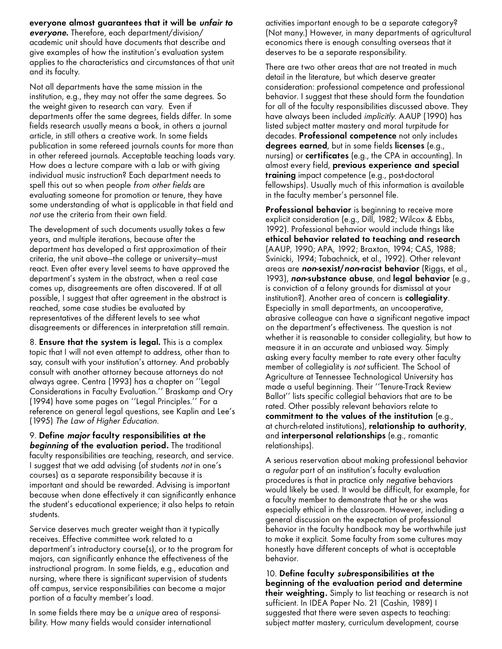**everyone almost guarantees that it will be** *unfair to everyone***.** Therefore, each department/division/ academic unit should have documents that describe and give examples of how the institution's evaluation system applies to the characteristics and circumstances of that unit and its faculty.

Not all departments have the same mission in the institution, e.g., they may not offer the same degrees. So the weight given to research can vary. Even if departments offer the same degrees, fields differ. In some fields research usually means a book, in others a journal article, in still others a creative work. In some fields publication in some refereed journals counts for more than in other refereed journals. Acceptable teaching loads vary. How does a lecture compare with a lab or with giving individual music instruction? Each department needs to spell this out so when people *from other fields* are evaluating someone for promotion or tenure, they have some understanding of what is applicable in that field and *not* use the criteria from their own field.

The development of such documents usually takes a few years, and multiple iterations, because after the department has developed a first approximation of their criteria, the unit above—the college or university—must react. Even after every level seems to have approved the department's system in the abstract, when a real case comes up, disagreements are often discovered. If at all possible, I suggest that after agreement in the abstract is reached, some case studies be evaluated by representatives of the different levels to see what disagreements or differences in interpretation still remain.

8. **Ensure that the system is legal.** This is a complex topic that I will not even attempt to address, other than to say, consult with your institution's attorney. And probably consult with another attorney because attorneys do not always agree. Centra (1993) has a chapter on ''Legal Considerations in Faculty Evaluation.'' Braskamp and Ory (1994) have some pages on ''Legal Principles.'' For a reference on general legal questions, see Kaplin and Lee's (1995) *The Law of Higher Education*.

9. **Define** *major* **faculty responsibilities at the** *beginning* **of the evaluation period.** The traditional faculty responsibilities are teaching, research, and service. I suggest that we add advising (of students *not* in one's courses) as a separate responsibility because it is important and should be rewarded. Advising is important because when done effectively it can significantly enhance the student's educational experience; it also helps to retain students.

Service deserves much greater weight than it typically receives. Effective committee work related to a department's introductory course(s), or to the program for majors, can significantly enhance the effectiveness of the instructional program. In some fields, e.g., education and nursing, where there is significant supervision of students off campus, service responsibilities can become a major portion of a faculty member's load.

In some fields there may be a *unique* area of responsibility. How many fields would consider international

activities important enough to be a separate category? (Not many.) However, in many departments of agricultural economics there is enough consulting overseas that it deserves to be a separate responsibility.

There are two other areas that are not treated in much detail in the literature, but which deserve greater consideration: professional competence and professional behavior. I suggest that these should form the foundation for all of the faculty responsibilities discussed above. They have always been included *implicitly*. AAUP (1990) has listed subject matter mastery and moral turpitude for decades. **Professional competence** not only includes **degrees earned**, but in some fields **licenses** (e.g., nursing) or **certificates** (e.g., the CPA in accounting). In almost every field, **previous experience and special training** impact competence (e.g., post-doctoral fellowships). Usually much of this information is available in the faculty member's personnel file.

**Professional behavior** is beginning to receive more explicit consideration (e.g., Dill, 1982; Wilcox & Ebbs, 1992). Professional behavior would include things like **ethical behavior related to teaching and research** (AAUP, 1990; APA, 1992; Braxton, 1994; CAS, 1988; Svinicki, 1994; Tabachnick, et al., 1992). Other relevant areas are *non***-sexist/***non***-racist behavior** (Riggs, et al., 1993), *non***-substance abuse**, and **legal behavior** (e.g., is conviction of a felony grounds for dismissal at your institution?). Another area of concern is **collegiality**. Especially in small departments, an uncooperative, abrasive colleague can have a significant negative impact on the department's effectiveness. The question is not whether it is reasonable to consider collegiality, but how to measure it in an accurate and unbiased way. Simply asking every faculty member to rate every other faculty member of collegiality is *not* sufficient. The School of Agriculture at Tennessee Technological University has made a useful beginning. Their ''Tenure-Track Review Ballot'' lists specific collegial behaviors that are to be rated. Other possibly relevant behaviors relate to **commitment to the values of the institution** (e.g., at church-related institutions), **relationship to authority**, and **interpersonal relationships** (e.g., romantic relationships).

A serious reservation about making professional behavior a *regular* part of an institution's faculty evaluation procedures is that in practice only *negative* behaviors would likely be used. It would be difficult, for example, for a faculty member to demonstrate that he or she was especially ethical in the classroom. However, including a general discussion on the expectation of professional behavior in the faculty handbook may be worthwhile just to make it explicit. Some faculty from some cultures may honestly have different concepts of what is acceptable behavior.

10. **Define faculty** *sub***responsibilities at the beginning of the evaluation period and determine their weighting.** Simply to list teaching or research is not sufficient. In IDEA Paper No. 21 (Cashin, 1989) I suggested that there were seven aspects to teaching: subject matter mastery, curriculum development, course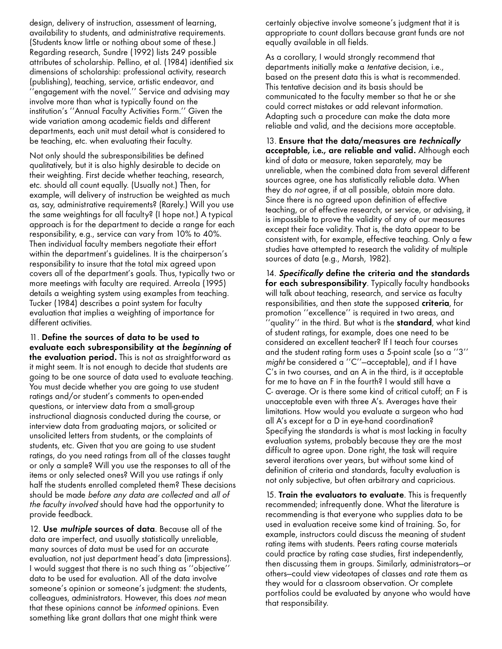design, delivery of instruction, assessment of learning, availability to students, and administrative requirements. (Students know little or nothing about some of these.) Regarding research, Sundre (1992) lists 249 possible attributes of scholarship. Pellino, et al. (1984) identified six dimensions of scholarship: professional activity, research (publishing), teaching, service, artistic endeavor, and ''engagement with the novel.'' Service and advising may involve more than what is typically found on the institution's ''Annual Faculty Activities Form.'' Given the wide variation among academic fields and different departments, each unit must detail what is considered to be teaching, etc. when evaluating their faculty.

Not only should the subresponsibilities be defined qualitatively, but it is also highly desirable to decide on their weighting. First decide whether teaching, research, etc. should all count equally. (Usually not.) Then, for example, will delivery of instruction be weighted as much as, say, administrative requirements? (Rarely.) Will you use the same weightings for all faculty? (I hope not.) A typical approach is for the department to decide a range for each responsibility, e.g., service can vary from 10% to 40%. Then individual faculty members negotiate their effort within the department's guidelines. It is the chairperson's responsibility to insure that the total mix agreed upon covers all of the department's goals. Thus, typically two or more meetings with faculty are required. Arreola (1995) details a weighting system using examples from teaching. Tucker (1984) describes a point system for faculty evaluation that implies a weighting of importance for different activities.

11. **Define the sources of data to be used to evaluate each subresponsibility at the** *beginning* **of the evaluation period.** This is not as straightforward as it might seem. It is not enough to decide that students are going to be one source of data used to evaluate teaching. You must decide whether you are going to use student ratings and/or student's comments to open-ended questions, or interview data from a small-group instructional diagnosis conducted during the course, or interview data from graduating majors, or solicited or unsolicited letters from students, or the complaints of students, etc. Given that you are going to use student ratings, do you need ratings from all of the classes taught or only a sample? Will you use the responses to all of the items or only selected ones? Will you use ratings if only half the students enrolled completed them? These decisions should be made *before any data are collected* and *all of the faculty involved* should have had the opportunity to provide feedback.

12. **Use** *multiple* **sources of data**. Because all of the data are imperfect, and usually statistically unreliable, many sources of data must be used for an accurate evaluation, not just department head's data (impressions). I would suggest that there is no such thing as ''objective'' data to be used for evaluation. All of the data involve someone's opinion or someone's judgment: the students, colleagues, administrators. However, this does *not* mean that these opinions cannot be *informed* opinions. Even something like grant dollars that one might think were

certainly objective involve someone's judgment that it is appropriate to count dollars because grant funds are not equally available in all fields.

As a corollary, I would strongly recommend that departments initially make a *tentative* decision, i.e., based on the present data this is what is recommended. This tentative decision and its basis should be communicated to the faculty member so that he or she could correct mistakes or add relevant information. Adapting such a procedure can make the data more reliable and valid, and the decisions more acceptable.

13. **Ensure that the data/measures are** *technically* **acceptable, i.e., are reliable and valid.** Although each kind of data or measure, taken separately, may be unreliable, when the combined data from several different sources agree, one has statistically reliable data. When they do *not* agree, if at all possible, obtain more data. Since there is no agreed upon definition of effective teaching, or of effective research, or service, or advising, it is impossible to prove the validity of any of our measures except their face validity. That is, the data appear to be consistent with, for example, effective teaching. Only a few studies have attempted to research the validity of multiple sources of data (e.g., Marsh, 1982).

14. *Specifically* **define the criteria and the standards for each subresponsibility**. Typically faculty handbooks will talk about teaching, research, and service as faculty responsibilities, and then state the supposed **criteria**, for promotion ''excellence'' is required in two areas, and 'quality'' in the third. But what is the **standard**, what kind of student ratings, for example, does one need to be considered an excellent teacher? If I teach four courses and the student rating form uses a 5-point scale (so a ''3'' *might* be considered a ''C''—acceptable), and if I have C's in two courses, and an A in the third, is it acceptable for me to have an F in the fourth? I would still have a C- average. Or is there some kind of critical cutoff; an F is unacceptable even with three A's. Averages have their limitations. How would you evaluate a surgeon who had all A's except for a D in eye-hand coordination? Specifying the standards is what is most lacking in faculty evaluation systems, probably because they are the most difficult to agree upon. Done right, the task will require several iterations over years, but without some kind of definition of criteria and standards, faculty evaluation is not only subjective, but often arbitrary and capricious.

15. **Train the evaluators to evaluate**. This is frequently recommended; infrequently done. What the literature is recommending is that everyone who supplies data to be used in evaluation receive some kind of training. So, for example, instructors could discuss the meaning of student rating items with students. Peers rating course materials could practice by rating case studies, first independently, then discussing them in groups. Similarly, administrators—or others—could view videotapes of classes and rate them as they would for a classroom observation. Or complete portfolios could be evaluated by anyone who would have that responsibility.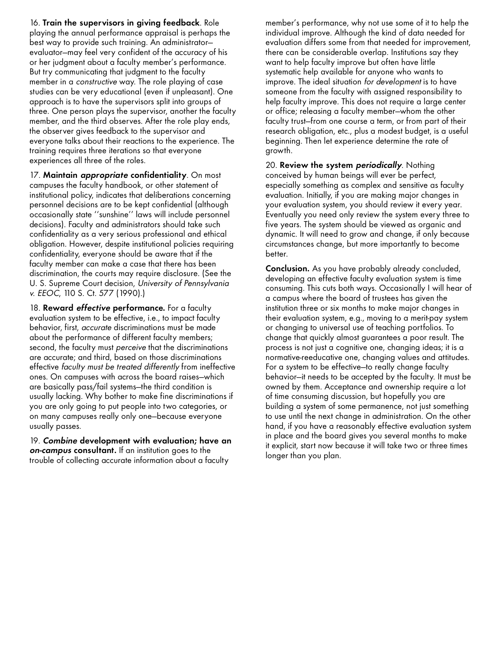16. **Train the supervisors in giving feedback**. Role playing the annual performance appraisal is perhaps the best way to provide such training. An administrator evaluator—may feel very confident of the accuracy of his or her judgment about a faculty member's performance. But try communicating that judgment to the faculty member in a *constructive* way. The role playing of case studies can be very educational (even if unpleasant). One approach is to have the supervisors split into groups of three. One person plays the supervisor, another the faculty member, and the third observes. After the role play ends, the observer gives feedback to the supervisor and everyone talks about their reactions to the experience. The training requires three iterations so that everyone experiences all three of the roles.

17. **Maintain** *appropriate* **confidentiality**. On most campuses the faculty handbook, or other statement of institutional policy, indicates that deliberations concerning personnel decisions are to be kept confidential (although occasionally state ''sunshine'' laws will include personnel decisions). Faculty and administrators should take such confidentiality as a very serious professional and ethical obligation. However, despite institutional policies requiring confidentiality, everyone should be aware that if the faculty member can make a case that there has been discrimination, the courts may require disclosure. (See the U. S. Supreme Court decision, *University of Pennsylvania v. EEOC*, 110 S. Ct. 577 (1990).)

18. **Reward** *effective* **performance.** For a faculty evaluation system to be effective, i.e., to impact faculty behavior, first, *accurate* discriminations must be made about the performance of different faculty members; second, the faculty must *perceive* that the discriminations are accurate; and third, based on those discriminations effective *faculty must be treated differently* from ineffective ones. On campuses with across the board raises—which are basically pass/fail systems—the third condition is usually lacking. Why bother to make fine discriminations if you are only going to put people into two categories, or on many campuses really only one—because everyone usually passes.

19. *Combine* **development with evaluation; have an** *on-campus* **consultant.** If an institution goes to the trouble of collecting accurate information about a faculty

member's performance, why not use some of it to help the individual improve. Although the kind of data needed for evaluation differs some from that needed for improvement, there can be considerable overlap. Institutions say they want to help faculty improve but often have little systematic help available for anyone who wants to improve. The ideal situation *for development* is to have someone from the faculty with assigned responsibility to help faculty improve. This does not require a large center or office; releasing a faculty member—whom the other faculty trust—from one course a term, or from part of their research obligation, etc., plus a modest budget, is a useful beginning. Then let experience determine the rate of growth.

20. **Review the system** *periodically*. Nothing conceived by human beings will ever be perfect, especially something as complex and sensitive as faculty evaluation. Initially, if you are making major changes in your evaluation system, you should review it every year. Eventually you need only review the system every three to five years. The system should be viewed as organic and dynamic. It will need to grow and change, if only because circumstances change, but more importantly to become better.

**Conclusion.** As you have probably already concluded, developing an effective faculty evaluation system is time consuming. This cuts both ways. Occasionally I will hear of a campus where the board of trustees has given the institution three or six months to make major changes in their evaluation system, e.g., moving to a merit-pay system or changing to universal use of teaching portfolios. To change that quickly almost guarantees a poor result. The process is not just a cognitive one, changing ideas; it is a normative-reeducative one, changing values and attitudes. For a system to be effective—to really change faculty behavior—it needs to be accepted by the faculty. It must be owned by them. Acceptance and ownership require a lot of time consuming discussion, but hopefully you are building a system of some permanence, not just something to use until the next change in administration. On the other hand, if you have a reasonably effective evaluation system in place and the board gives you several months to make it explicit, start now because it will take two or three times longer than you plan.